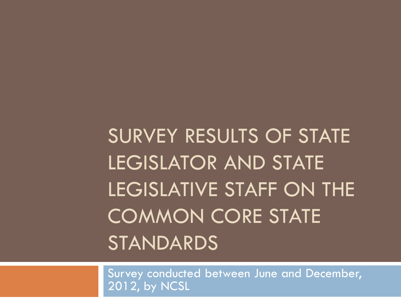SURVEY RESULTS OF STATE LEGISLATOR AND STATE LEGISLATIVE STAFF ON THE COMMON CORE STATE STANDARDS

Survey conducted between June and December, 2012, by NCSL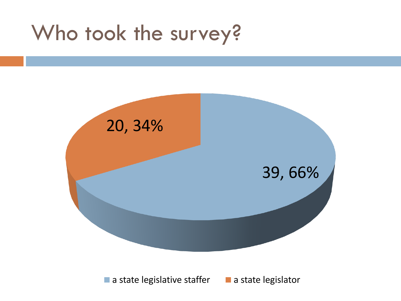## Who took the survey?



 $\blacksquare$  a state legislative staffer  $\blacksquare$  a state legislator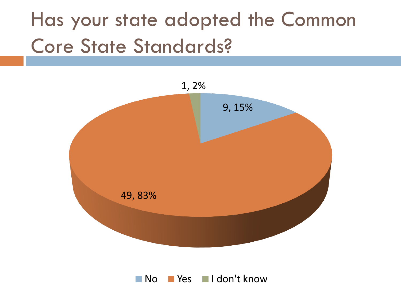# Has your state adopted the Common Core State Standards?



No Yes I don't know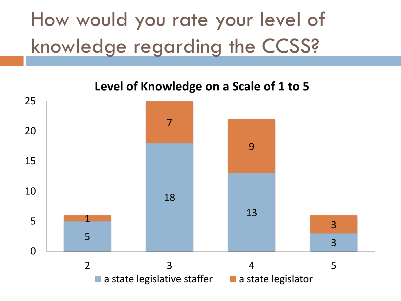# How would you rate your level of knowledge regarding the CCSS?

**Level of Knowledge on a Scale of 1 to 5**

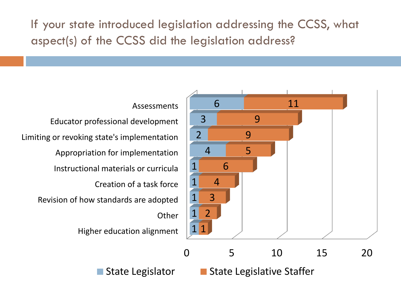If your state introduced legislation addressing the CCSS, what aspect(s) of the CCSS did the legislation address?



**Assessments** 

Higher education alignment **Other** Revision of how standards are adopted Creation of a task force Instructional materials or curricula Appropriation for implementation Limiting or revoking state's implementation Educator professional development

> 5 10 15 20  $\blacksquare$  State Legislator  $\blacksquare$  State Legislative Staffer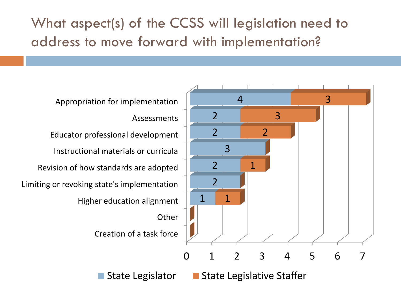What aspect(s) of the CCSS will legislation need to address to move forward with implementation?

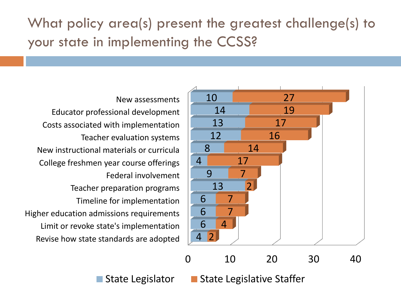What policy area(s) present the greatest challenge(s) to your state in implementing the CCSS?



10 20 30 40

Revise how state standards are adopted Limit or revoke state's implementation Higher education admissions requirements Timeline for implementation Teacher preparation programs Federal involvement College freshmen year course offerings New instructional materials or curricula Teacher evaluation systems Costs associated with implementation Educator professional development New assessments

 $\blacksquare$  State Legislator  $\blacksquare$  State Legislative Staffer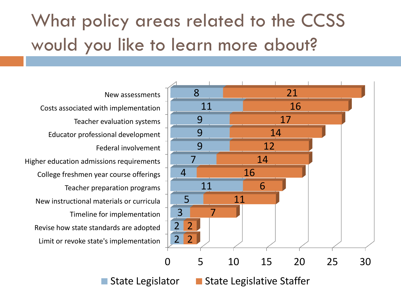### What policy areas related to the CCSS would you like to learn more about?

Limit or revoke state's implementation Revise how state standards are adopted Timeline for implementation New instructional materials or curricula Teacher preparation programs College freshmen year course offerings Higher education admissions requirements Federal involvement Educator professional development Teacher evaluation systems Costs associated with implementation New assessments



State Legislator **State Legislative Staffer**